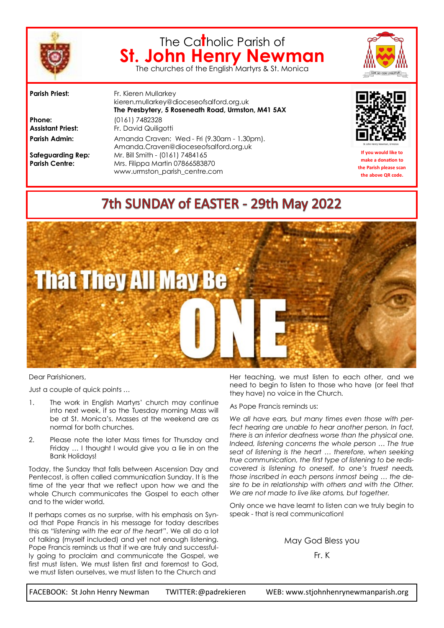

# The Ca**t**holic Parish of **St. John Henry Newman** The churches of the English Martyrs & St. Monica



**Parish Priest:** Fr. Kieren Mullarkey kieren.mullarkey@dioceseofsalford.org.uk **The Presbytery, 5 Roseneath Road, Urmston, M41 5AX Phone:** (0161) 7482328 **Assistant Priest:** Fr. David Quiligotti Parish Admin: Amanda Craven: Wed - Fri (9.30am - 1.30pm). Amanda.Craven@dioceseofsalford.org.uk **Safeguarding Rep***:* Mr. Bill Smith - (0161) 7484165 **Parish Centre:** Mrs. Filippa Martin 07866583870 www.urmston\_parish\_centre.com



**If you would like to make a donation to the Parish please scan the above QR code.**

# 7th SUNDAY of EASTER - 29th May 2022



Dear Parishioners,

Just a couple of quick points …

- 1. The work in English Martyrs' church may continue into next week, if so the Tuesday morning Mass will be at St. Monica's. Masses at the weekend are as normal for both churches.
- 2. Please note the later Mass times for Thursday and Friday … I thought I would give you a lie in on the Bank Holidays!

Today, the Sunday that falls between Ascension Day and Pentecost, is often called communication Sunday. It is the time of the year that we reflect upon how we and the whole Church communicates the Gospel to each other and to the wider world.

It perhaps comes as no surprise, with his emphasis on Synod that Pope Francis in his message for today describes this as "*listening with the ear of the heart*". We all do a lot of talking (myself included) and yet not enough listening. Pope Francis reminds us that if we are truly and successfully going to proclaim and communicate the Gospel, we first must listen. We must listen first and foremost to God, we must listen ourselves, we must listen to the Church and

Her teaching, we must listen to each other, and we need to begin to listen to those who have (or feel that they have) no voice in the Church.

As Pope Francis reminds us:

*We all have ears, but many times even those with perfect hearing are unable to hear another person. In fact, there is an interior deafness worse than the physical one. Indeed, listening concerns the whole person … The true seat of listening is the heart … therefore, when seeking true communication, the first type of listening to be rediscovered is listening to oneself, to one's truest needs, those inscribed in each persons inmost being … the desire to be in relationship with others and with the Other. We are not made to live like atoms, but together.*

Only once we have learnt to listen can we truly begin to speak - that is real communication!

May God Bless you

Fr. K

FACEBOOK: St John Henry Newman TWITTER:@padrekieren WEB: www.stjohnhenrynewmanparish.org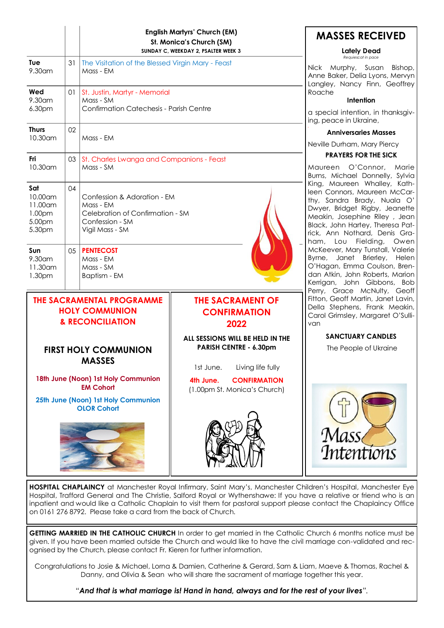|                                                                                                                      |    | <b>English Martyrs' Church (EM)</b><br>St. Monica's Church (SM)<br>SUNDAY C, WEEKDAY 2, PSALTER WEEK 3             |                                                                                                                                                                                                   | <b>MASSES RECEIVED</b><br><b>Lately Dead</b>                                                                                                                                                                                                                                                                                                                      |
|----------------------------------------------------------------------------------------------------------------------|----|--------------------------------------------------------------------------------------------------------------------|---------------------------------------------------------------------------------------------------------------------------------------------------------------------------------------------------|-------------------------------------------------------------------------------------------------------------------------------------------------------------------------------------------------------------------------------------------------------------------------------------------------------------------------------------------------------------------|
| Tue<br>9.30am                                                                                                        | 31 | The Visitation of the Blessed Virgin Mary - Feast<br>Mass - EM                                                     |                                                                                                                                                                                                   | Requiescat in pace<br>Nick Murphy, Susan<br>Bishop,<br>Anne Baker, Delia Lyons, Mervyn<br>Langley, Nancy Finn, Geoffrey<br>Roache<br>Intention<br>a special intention, in thanksgiv-<br>ing, peace in Ukraine,                                                                                                                                                    |
| Wed<br>9.30am<br>6.30pm                                                                                              | 01 | St. Justin, Martyr - Memorial<br>Mass - SM<br>Confirmation Catechesis - Parish Centre                              |                                                                                                                                                                                                   |                                                                                                                                                                                                                                                                                                                                                                   |
| <b>Thurs</b><br>10.30am                                                                                              | 02 | Mass - EM                                                                                                          |                                                                                                                                                                                                   | <b>Anniversaries Masses</b><br>Neville Durham, Mary Piercy                                                                                                                                                                                                                                                                                                        |
| Fri<br>10.30am                                                                                                       | 03 | St. Charles Lwanga and Companions - Feast<br>Mass - SM                                                             |                                                                                                                                                                                                   | <b>PRAYERS FOR THE SICK</b><br>Maureen O'Connor,<br>Marie<br>Burns, Michael Donnelly, Sylvia<br>King, Maureen Whalley, Kath-<br>leen Connors, Maureen McCar-<br>thy, Sandra Brady, Nuala O'<br>Dwyer, Bridget Rigby, Jeanette<br>Meakin, Josephine Riley, Jean<br>Black, John Hartey, Theresa Pat-<br>rick, Ann Nothard, Denis Gra-<br>ham, Lou Fielding,<br>Owen |
| Sat<br>10.00am<br>11.00am<br>1.00pm<br>5.00pm<br>5.30pm                                                              | 04 | Confession & Adoration - EM<br>Mass - EM<br>Celebration of Confirmation - SM<br>Confession - SM<br>Vigil Mass - SM |                                                                                                                                                                                                   |                                                                                                                                                                                                                                                                                                                                                                   |
| Sun<br>9.30am<br>$11.30$ am<br>1.30pm                                                                                | 05 | <b>PENTECOST</b><br>Mass - EM<br>Mass - SM<br>Baptism - EM                                                         | McKeever, Mary Tunstall, Valerie<br>Byrne, Janet Brierley, Helen<br>O'Hagan, Emma Coulson, Bren-<br>dan Atkin, John Roberts, Marion<br>Kerrigan, John Gibbons, Bob<br>Perry, Grace McNulty, Geoff |                                                                                                                                                                                                                                                                                                                                                                   |
| <b>THE SACRAMENTAL PROGRAMME</b><br><b>HOLY COMMUNION</b><br><b>&amp; RECONCILIATION</b>                             |    |                                                                                                                    | <b>THE SACRAMENT OF</b><br><b>CONFIRMATION</b><br>2022                                                                                                                                            | Fitton, Geoff Martin, Janet Lavin,<br>Della Stephens, Frank Meakin,<br>Carol Grimsley, Margaret O'Sulli-<br>van                                                                                                                                                                                                                                                   |
| <b>FIRST HOLY COMMUNION</b><br><b>MASSES</b>                                                                         |    |                                                                                                                    | ALL SESSIONS WILL BE HELD IN THE<br>PARISH CENTRE - 6.30pm<br>1st June.<br>Living life fully                                                                                                      | <b>SANCTUARY CANDLES</b><br>The People of Ukraine                                                                                                                                                                                                                                                                                                                 |
| 18th June (Noon) 1st Holy Communion<br><b>EM Cohort</b><br>25th June (Noon) 1st Holy Communion<br><b>OLOR Cohort</b> |    |                                                                                                                    | <b>CONFIRMATION</b><br>4th June.<br>(1.00pm St. Monica's Church)                                                                                                                                  |                                                                                                                                                                                                                                                                                                                                                                   |
|                                                                                                                      |    |                                                                                                                    |                                                                                                                                                                                                   | Mass<br>Intentions                                                                                                                                                                                                                                                                                                                                                |

**HOSPITAL CHAPLAINCY** at Manchester Royal Infirmary, Saint Mary's, Manchester Children's Hospital, Manchester Eye Hospital, Trafford General and The Christie, Salford Royal or Wythenshawe: If you have a relative or friend who is an inpatient and would like a Catholic Chaplain to visit them for pastoral support please contact the Chaplaincy Office on 0161 276 8792. Please take a card from the back of Church.

**GETTING MARRIED IN THE CATHOLIC CHURCH** In order to get married in the Catholic Church 6 months notice must be given. If you have been married outside the Church and would like to have the civil marriage con-validated and recognised by the Church, please contact Fr. Kieren for further information.

Congratulations to Josie & Michael, Lorna & Damien, Catherine & Gerard, Sam & Liam, Maeve & Thomas, Rachel & Danny, and Olivia & Sean who will share the sacrament of marriage together this year.

*"And that is what marriage is! Hand in hand, always and for the rest of your lives".*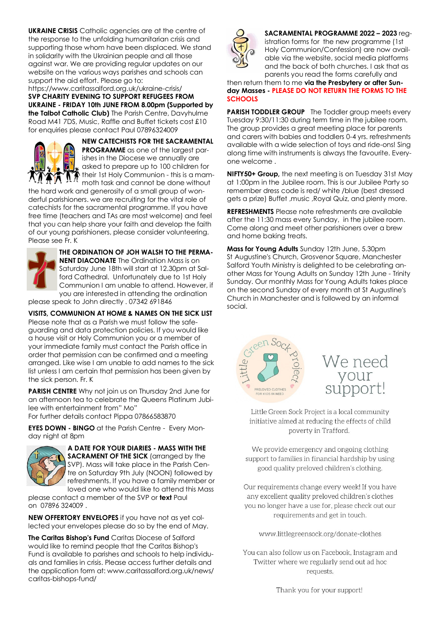**UKRAINE CRISIS** Catholic agencies are at the centre of the response to the unfolding humanitarian crisis and supporting those whom have been displaced. We stand in solidarity with the Ukrainian people and all those against war. We are providing regular updates on our website on the various ways parishes and schools can support the aid effort. Please go to:

https://www.caritassalford.org.uk/ukraine-crisis/ **SVP CHARITY EVENING TO SUPPORT REFUGEES FROM UKRAINE - FRIDAY 10th JUNE FROM 8.00pm (Supported by the Talbot Catholic Club)** The Parish Centre, Davyhulme Road M41 7DS, Music, Raffle and Buffet tickets cost £10 for enquiries please contact Paul 07896324009



**NEW CATECHISTS FOR THE SACRAMENTAL PROGRAMME** as one of the largest parishes in the Diocese we annually are asked to prepare up to 100 children for their 1st Holy Communion - this is a mam-<br> $\prod_{n=1}^\infty$  their 1st Holy Communion - this is a mammoth task and cannot be done without

the hard work and generosity of a small group of wonderful parishioners. we are recruiting for the vital role of catechists for the sacramental programme. If you have free time (teachers and TAs are most welcome) and feel that you can help share your faith and develop the faith of our young parishioners, please consider volunteering. Please see Fr. K



**THE ORDINATION OF JOH WALSH TO THE PERMA-NENT DIACONATE** The Ordination Mass is on Saturday June 18th will start at 12.30pm at Salford Cathedral. Unfortunately due to 1st Holy Communion I am unable to attend. However, if you are interested in attending the ordination

please speak to John directly . 07342 691846

**VISITS, COMMUNION AT HOME & NAMES ON THE SICK LIST** Please note that as a Parish we must follow the safeguarding and data protection policies. If you would like a house visit or Holy Communion you or a member of your immediate family must contact the Parish office in order that permission can be confirmed and a meeting arranged. Like wise I am unable to add names to the sick list unless I am certain that permission has been given by the sick person. Fr. K

**PARISH CENTRE** Why not join us on Thursday 2nd June for an afternoon tea to celebrate the Queens Platinum Jubilee with entertainment from" Mo" For further details contact Pippa 07866583870

**EYES DOWN - BINGO** at the Parish Centre - Every Monday night at 8pm



**A DATE FOR YOUR DIARIES - MASS WITH THE SACRAMENT OF THE SICK** (arranged by the SVP). Mass will take place in the Parish Centre on Saturday 9th July (NOON) followed by refreshments. If you have a family member or loved one who would like to attend this Mass

please contact a member of the SVP or **text** Paul on 07896 324009 .

**NEW OFFERTORY ENVELOPES** if you have not as yet collected your envelopes please do so by the end of May.

**The Caritas Bishop's Fund** Caritas Diocese of Salford would like to remind people that the Caritas Bishop's Fund is available to parishes and schools to help individuals and families in crisis. Please access further details and the application form at: www.caritassalford.org.uk/news/ caritas-bishops-fund/



**SACRAMENTAL PROGRAMME 2022 – 2023** registration forms for the new programme (1st Holy Communion/Confession) are now available via the website, social media platforms and the back of both churches. I ask that as parents you read the forms carefully and

then return them to me **via the Presbytery or after Sunday Masses - PLEASE DO NOT RETURN THE FORMS TO THE SCHOOLS**

**PARISH TODDLER GROUP** The Toddler group meets every Tuesday 9:30/11:30 during term time in the jubilee room. The group provides a great meeting place for parents and carers with babies and toddlers 0-4 yrs. refreshments available with a wide selection of toys and ride-ons! Sing along time with instruments is always the favourite. Everyone welcome .

**NIFTY50+ Group,** the next meeting is on Tuesday 31st May at 1:00pm in the Jubilee room. This is our Jubilee Party so remember dress code is red/ white /blue (best dressed gets a prize) Buffet ,music ,Royal Quiz, and plenty more.

**REFRESHMENTS** Please note refreshments are available after the 11:30 mass every Sunday, in the jubilee room. Come along and meet other parishioners over a brew and home baking treats.

**Mass for Young Adults** Sunday 12th June, 5.30pm St Augustine's Church, Grosvenor Square, Manchester Salford Youth Ministry is delighted to be celebrating another Mass for Young Adults on Sunday 12th June - Trinity Sunday. Our monthly Mass for Young Adults takes place on the second Sunday of every month at St Augustine's Church in Manchester and is followed by an informal social.





Little Green Sock Project is a local community initiative aimed at reducing the effects of child poverty in Trafford.

We provide emergency and ongoing clothing support to families in financial hardship by using good quality preloved children's clothing.

Our requirements change every week! If you have any excellent quality preloved children's clothes you no longer have a use for, please check out our requirements and get in touch.

www.littlegreensock.org/donate-clothes

You can also follow us on Facebook, Instagram and Twitter where we regularly send out ad hoc requests.

Thank you for your support!